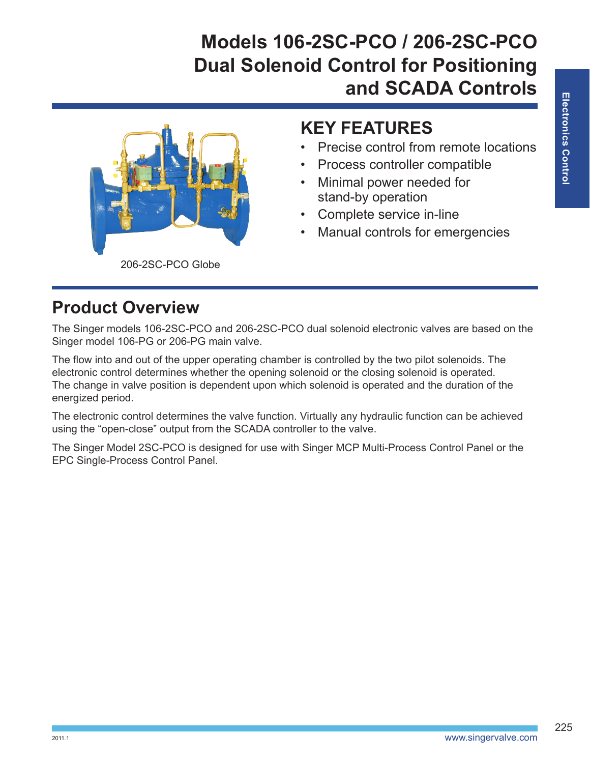# **Models 106-2SC-PCO / 206-2SC-PCO Dual Solenoid Control for Positioning and SCADA Controls**



#### **KEY FEATURES**

- Precise control from remote locations
- Process controller compatible
- Minimal power needed for stand-by operation
- Complete service in-line
- Manual controls for emergencies

#### **Product Overview**

The Singer models 106-2SC-PCO and 206-2SC-PCO dual solenoid electronic valves are based on the Singer model 106-PG or 206-PG main valve.

The flow into and out of the upper operating chamber is controlled by the two pilot solenoids. The electronic control determines whether the opening solenoid or the closing solenoid is operated. The change in valve position is dependent upon which solenoid is operated and the duration of the energized period.

The electronic control determines the valve function. Virtually any hydraulic function can be achieved using the "open-close" output from the SCADA controller to the valve.

The Singer Model 2SC-PCO is designed for use with Singer MCP Multi-Process Control Panel or the EPC Single-Process Control Panel.

225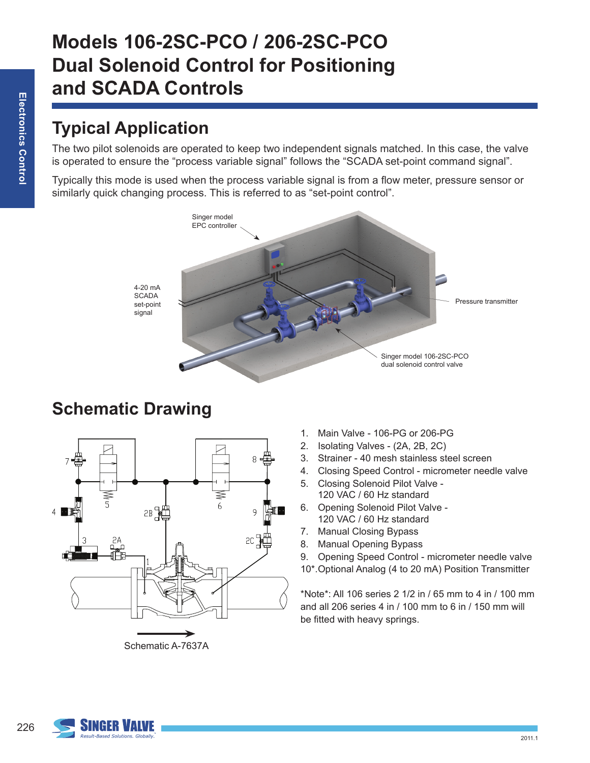### **Typical Application**

The two pilot solenoids are operated to keep two independent signals matched. In this case, the valve is operated to ensure the "process variable signal" follows the "SCADA set-point command signal".

Typically this mode is used when the process variable signal is from a flow meter, pressure sensor or similarly quick changing process. This is referred to as "set-point control".



4-20 mA **SCADA** set-point

### **Schematic Drawing**



Schematic A-7637A

- 1. Main Valve 106-PG or 206-PG
- 2. Isolating Valves (2A, 2B, 2C)
- 3. Strainer 40 mesh stainless steel screen
- 4. Closing Speed Control micrometer needle valve
- 5. Closing Solenoid Pilot Valve 120 VAC / 60 Hz standard
- 6. Opening Solenoid Pilot Valve 120 VAC / 60 Hz standard
- 7. Manual Closing Bypass
- 8. Manual Opening Bypass
- 9. Opening Speed Control micrometer needle valve
- 10\*.Optional Analog (4 to 20 mA) Position Transmitter

\*Note\*: All 106 series 2 1/2 in / 65 mm to 4 in / 100 mm and all 206 series 4 in / 100 mm to 6 in / 150 mm will be fitted with heavy springs.

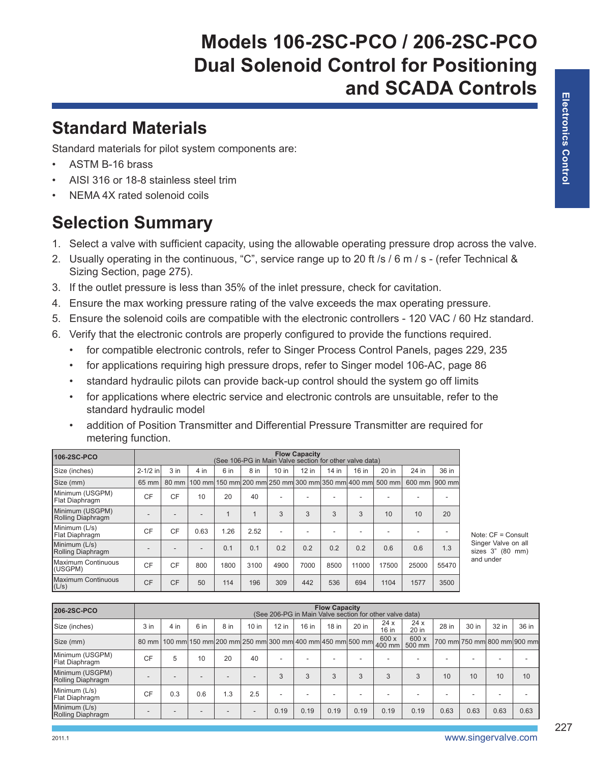# **Models 106-2SC-PCO / 206-2SC-PCO Dual Solenoid Control for Positioning and SCADA Controls**

#### **Standard Materials**

Standard materials for pilot system components are:

- ASTM B-16 brass
- AISI 316 or 18-8 stainless steel trim
- NEMA 4X rated solenoid coils

# **Selection Summary**

- 1. Select a valve with sufficient capacity, using the allowable operating pressure drop across the valve.
- 2. Usually operating in the continuous, "C", service range up to 20 ft /s / 6 m / s (refer Technical & Sizing Section, page 275).
- 3. If the outlet pressure is less than 35% of the inlet pressure, check for cavitation.
- 4. Ensure the max working pressure rating of the valve exceeds the max operating pressure.
- 5. Ensure the solenoid coils are compatible with the electronic controllers 120 VAC / 60 Hz standard.
- 6. Verify that the electronic controls are properly configured to provide the functions required.
	- for compatible electronic controls, refer to Singer Process Control Panels, pages 229, 235
	- for applications requiring high pressure drops, refer to Singer model 106-AC, page 86
	- standard hydraulic pilots can provide back-up control should the system go off limits
	- for applications where electric service and electronic controls are unsuitable, refer to the standard hydraulic model
	- addition of Position Transmitter and Differential Pressure Transmitter are required for metering function.

| 106-2SC-PCO                          | <b>Flow Capacity</b><br>(See 106-PG in Main Valve section for other valve data) |                 |      |      |      |         |         |         |       |                                                                |        |        |
|--------------------------------------|---------------------------------------------------------------------------------|-----------------|------|------|------|---------|---------|---------|-------|----------------------------------------------------------------|--------|--------|
| Size (inches)                        | $2 - 1/2$ in                                                                    | 3 <sub>in</sub> | 4 in | 6 in | 8 in | $10$ in | $12$ in | $14$ in | 16 in | 20 in                                                          | 24 in  | 36 in  |
| Size (mm)                            | 65 mm                                                                           | 80 mm           |      |      |      |         |         |         |       | 100 mm  150 mm  200 mm  250 mm  300 mm  350 mm  400 mm  500 mm | 600 mm | 900 mm |
| Minimum (USGPM)<br>Flat Diaphragm    | <b>CF</b>                                                                       | CF              | 10   | 20   | 40   |         |         |         |       |                                                                |        |        |
| Minimum (USGPM)<br>Rolling Diaphragm | ۰                                                                               |                 |      | 1    |      | 3       | 3       | 3       | 3     | 10                                                             | 10     | 20     |
| Minimum (L/s)<br>Flat Diaphragm      | CF                                                                              | CF              | 0.63 | 1.26 | 2.52 |         | ۰       |         |       |                                                                |        |        |
| Minimum (L/s)<br>Rolling Diaphragm   | ۰                                                                               |                 |      | 0.1  | 0.1  | 0.2     | 0.2     | 0.2     | 0.2   | 0.6                                                            | 0.6    | 1.3    |
| Maximum Continuous<br>(USGPM)        | CF                                                                              | CF              | 800  | 1800 | 3100 | 4900    | 7000    | 8500    | 11000 | 17500                                                          | 25000  | 55470  |
| Maximum Continuous<br>(L/s)          | <b>CF</b>                                                                       | <b>CF</b>       | 50   | 114  | 196  | 309     | 442     | 536     | 694   | 1104                                                           | 1577   | 3500   |

Note: CF = Consult Singer Valve on all sizes 3" (80 mm) and under

| 206-2SC-PCO                          | <b>Flow Capacity</b><br>(See 206-PG in Main Valve section for other valve data) |      |      |                                                                |         |         |       |                          |                          |                 |                 |       |       |                             |       |
|--------------------------------------|---------------------------------------------------------------------------------|------|------|----------------------------------------------------------------|---------|---------|-------|--------------------------|--------------------------|-----------------|-----------------|-------|-------|-----------------------------|-------|
| Size (inches)                        | $3$ in                                                                          | 4 in | 6 in | 8 in                                                           | $10$ in | $12$ in | 16 in | $18$ in                  | 20 in                    | 24x<br>16 in    | 24x<br>20 in    | 28 in | 30 in | 32 in                       | 36 in |
| Size (mm)                            | $80$ mm                                                                         |      |      | 100 mm  150 mm  200 mm  250 mm  300 mm  400 mm  450 mm  500 mm |         |         |       |                          |                          | 600 x<br>400 mm | 600 x<br>500 mm |       |       | 700 mm 750 mm 800 mm 900 mm |       |
| Minimum (USGPM)<br>Flat Diaphragm    | CF                                                                              | 5    | 10   | 20                                                             | 40      | ۰       | -     | $\overline{\phantom{a}}$ | $\overline{\phantom{a}}$ |                 |                 |       |       |                             |       |
| Minimum (USGPM)<br>Rolling Diaphragm |                                                                                 |      |      |                                                                |         | 3       | 3     | 3                        | 3                        | 3               | 3               | 10    | 10    | 10                          | 10    |
| Minimum (L/s)<br>Flat Diaphragm      | CF                                                                              | 0.3  | 0.6  | 1.3                                                            | 2.5     | ۰       | ۰     |                          | $\overline{\phantom{a}}$ |                 |                 | -     |       |                             |       |
| Minimum (L/s)<br>Rolling Diaphragm   |                                                                                 |      |      |                                                                |         | 0.19    | 0.19  | 0.19                     | 0.19                     | 0.19            | 0.19            | 0.63  | 0.63  | 0.63                        | 0.63  |